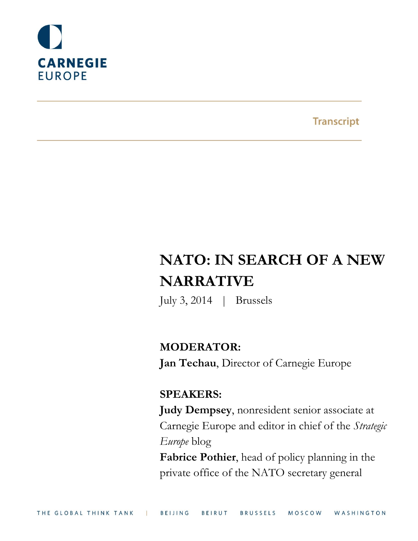

**Transcript** 

# **NATO: IN SEARCH OF A NEW NARRATIVE**

July 3, 2014 | Brussels

# **MODERATOR:**

**Jan Techau**, Director of Carnegie Europe

# **SPEAKERS:**

**Judy Dempsey**, nonresident senior associate at Carnegie Europe and editor in chief of the *Strategic Europe* blog **Fabrice Pothier**, head of policy planning in the

private office of the NATO secretary general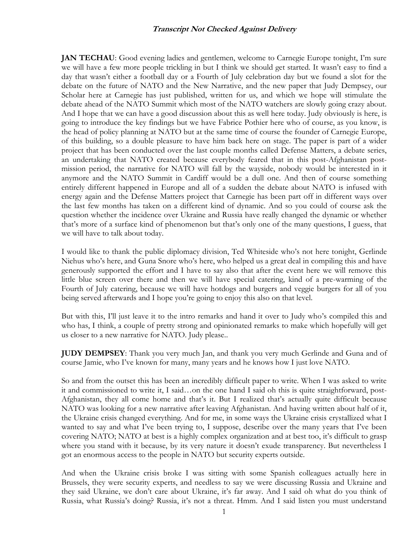**JAN TECHAU:** Good evening ladies and gentlemen, welcome to Carnegie Europe tonight, I'm sure we will have a few more people trickling in but I think we should get started. It wasn't easy to find a day that wasn't either a football day or a Fourth of July celebration day but we found a slot for the debate on the future of NATO and the New Narrative, and the new paper that Judy Dempsey, our Scholar here at Carnegie has just published, written for us, and which we hope will stimulate the debate ahead of the NATO Summit which most of the NATO watchers are slowly going crazy about. And I hope that we can have a good discussion about this as well here today. Judy obviously is here, is going to introduce the key findings but we have Fabrice Pothier here who of course, as you know, is the head of policy planning at NATO but at the same time of course the founder of Carnegie Europe, of this building, so a double pleasure to have him back here on stage. The paper is part of a wider project that has been conducted over the last couple months called Defense Matters, a debate series, an undertaking that NATO created because everybody feared that in this post-Afghanistan postmission period, the narrative for NATO will fall by the wayside, nobody would be interested in it anymore and the NATO Summit in Cardiff would be a dull one. And then of course something entirely different happened in Europe and all of a sudden the debate about NATO is infused with energy again and the Defense Matters project that Carnegie has been part off in different ways over the last few months has taken on a different kind of dynamic. And so you could of course ask the question whether the incidence over Ukraine and Russia have really changed the dynamic or whether that's more of a surface kind of phenomenon but that's only one of the many questions, I guess, that we will have to talk about today.

I would like to thank the public diplomacy division, Ted Whiteside who's not here tonight, Gerlinde Niehus who's here, and Guna Snore who's here, who helped us a great deal in compiling this and have generously supported the effort and I have to say also that after the event here we will remove this little blue screen over there and then we will have special catering, kind of a pre-warming of the Fourth of July catering, because we will have hotdogs and burgers and veggie burgers for all of you being served afterwards and I hope you're going to enjoy this also on that level.

But with this, I'll just leave it to the intro remarks and hand it over to Judy who's compiled this and who has, I think, a couple of pretty strong and opinionated remarks to make which hopefully will get us closer to a new narrative for NATO. Judy please..

**JUDY DEMPSEY**: Thank you very much Jan, and thank you very much Gerlinde and Guna and of course Jamie, who I've known for many, many years and he knows how I just love NATO.

So and from the outset this has been an incredibly difficult paper to write. When I was asked to write it and commissioned to write it, I said…on the one hand I said oh this is quite straightforward, post-Afghanistan, they all come home and that's it. But I realized that's actually quite difficult because NATO was looking for a new narrative after leaving Afghanistan. And having written about half of it, the Ukraine crisis changed everything. And for me, in some ways the Ukraine crisis crystallized what I wanted to say and what I've been trying to, I suppose, describe over the many years that I've been covering NATO; NATO at best is a highly complex organization and at best too, it's difficult to grasp where you stand with it because, by its very nature it doesn't exude transparency. But nevertheless I got an enormous access to the people in NATO but security experts outside.

And when the Ukraine crisis broke I was sitting with some Spanish colleagues actually here in Brussels, they were security experts, and needless to say we were discussing Russia and Ukraine and they said Ukraine, we don't care about Ukraine, it's far away. And I said oh what do you think of Russia, what Russia's doing? Russia, it's not a threat. Hmm. And I said listen you must understand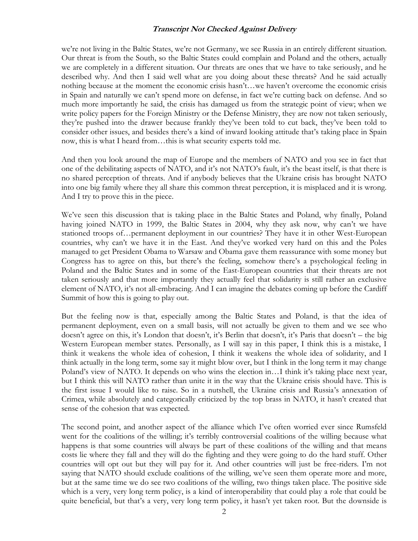we're not living in the Baltic States, we're not Germany, we see Russia in an entirely different situation. Our threat is from the South, so the Baltic States could complain and Poland and the others, actually we are completely in a different situation. Our threats are ones that we have to take seriously, and he described why. And then I said well what are you doing about these threats? And he said actually nothing because at the moment the economic crisis hasn't…we haven't overcome the economic crisis in Spain and naturally we can't spend more on defense, in fact we're cutting back on defense. And so much more importantly he said, the crisis has damaged us from the strategic point of view; when we write policy papers for the Foreign Ministry or the Defense Ministry, they are now not taken seriously, they're pushed into the drawer because frankly they've been told to cut back, they've been told to consider other issues, and besides there's a kind of inward looking attitude that's taking place in Spain now, this is what I heard from…this is what security experts told me.

And then you look around the map of Europe and the members of NATO and you see in fact that one of the debilitating aspects of NATO, and it's not NATO's fault, it's the beast itself, is that there is no shared perception of threats. And if anybody believes that the Ukraine crisis has brought NATO into one big family where they all share this common threat perception, it is misplaced and it is wrong. And I try to prove this in the piece.

We've seen this discussion that is taking place in the Baltic States and Poland, why finally, Poland having joined NATO in 1999, the Baltic States in 2004, why they ask now, why can't we have stationed troops of…permanent deployment in our countries? They have it in other West-European countries, why can't we have it in the East. And they've worked very hard on this and the Poles managed to get President Obama to Warsaw and Obama gave them reassurance with some money but Congress has to agree on this, but there's the feeling, somehow there's a psychological feeling in Poland and the Baltic States and in some of the East-European countries that their threats are not taken seriously and that more importantly they actually feel that solidarity is still rather an exclusive element of NATO, it's not all-embracing. And I can imagine the debates coming up before the Cardiff Summit of how this is going to play out.

But the feeling now is that, especially among the Baltic States and Poland, is that the idea of permanent deployment, even on a small basis, will not actually be given to them and we see who doesn't agree on this, it's London that doesn't, it's Berlin that doesn't, it's Paris that doesn't – the big Western European member states. Personally, as I will say in this paper, I think this is a mistake, I think it weakens the whole idea of cohesion, I think it weakens the whole idea of solidarity, and I think actually in the long term, some say it might blow over, but I think in the long term it may change Poland's view of NATO. It depends on who wins the election in…I think it's taking place next year, but I think this will NATO rather than unite it in the way that the Ukraine crisis should have. This is the first issue I would like to raise. So in a nutshell, the Ukraine crisis and Russia's annexation of Crimea, while absolutely and categorically criticized by the top brass in NATO, it hasn't created that sense of the cohesion that was expected.

The second point, and another aspect of the alliance which I've often worried ever since Rumsfeld went for the coalitions of the willing; it's terribly controversial coalitions of the willing because what happens is that some countries will always be part of these coalitions of the willing and that means costs lie where they fall and they will do the fighting and they were going to do the hard stuff. Other countries will opt out but they will pay for it. And other countries will just be free-riders. I'm not saying that NATO should exclude coalitions of the willing, we've seen them operate more and more, but at the same time we do see two coalitions of the willing, two things taken place. The positive side which is a very, very long term policy, is a kind of interoperability that could play a role that could be quite beneficial, but that's a very, very long term policy, it hasn't yet taken root. But the downside is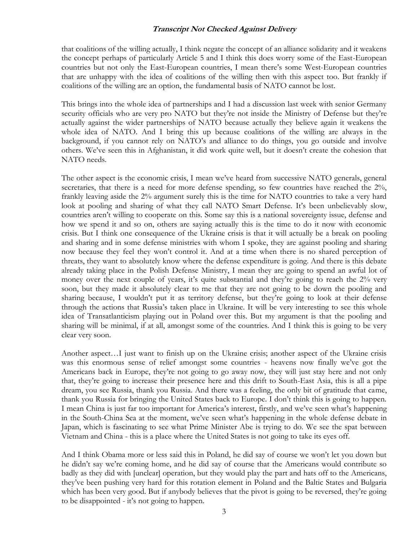that coalitions of the willing actually, I think negate the concept of an alliance solidarity and it weakens the concept perhaps of particularly Article 5 and I think this does worry some of the East-European countries but not only the East-European countries, I mean there's some West-European countries that are unhappy with the idea of coalitions of the willing then with this aspect too. But frankly if coalitions of the willing are an option, the fundamental basis of NATO cannot be lost.

This brings into the whole idea of partnerships and I had a discussion last week with senior Germany security officials who are very pro NATO but they're not inside the Ministry of Defense but they're actually against the wider partnerships of NATO because actually they believe again it weakens the whole idea of NATO. And I bring this up because coalitions of the willing are always in the background, if you cannot rely on NATO's and alliance to do things, you go outside and involve others. We've seen this in Afghanistan, it did work quite well, but it doesn't create the cohesion that NATO needs.

The other aspect is the economic crisis, I mean we've heard from successive NATO generals, general secretaries, that there is a need for more defense spending, so few countries have reached the  $2\%$ , frankly leaving aside the 2% argument surely this is the time for NATO countries to take a very hard look at pooling and sharing of what they call NATO Smart Defense. It's been unbelievably slow, countries aren't willing to cooperate on this. Some say this is a national sovereignty issue, defense and how we spend it and so on, others are saying actually this is the time to do it now with economic crisis. But I think one consequence of the Ukraine crisis is that it will actually be a break on pooling and sharing and in some defense ministries with whom I spoke, they are against pooling and sharing now because they feel they won't control it. And at a time when there is no shared perception of threats, they want to absolutely know where the defense expenditure is going. And there is this debate already taking place in the Polish Defense Ministry, I mean they are going to spend an awful lot of money over the next couple of years, it's quite substantial and they're going to reach the 2% very soon, but they made it absolutely clear to me that they are not going to be down the pooling and sharing because, I wouldn't put it as territory defense, but they're going to look at their defense through the actions that Russia's taken place in Ukraine. It will be very interesting to see this whole idea of Transatlanticism playing out in Poland over this. But my argument is that the pooling and sharing will be minimal, if at all, amongst some of the countries. And I think this is going to be very clear very soon.

Another aspect…I just want to finish up on the Ukraine crisis; another aspect of the Ukraine crisis was this enormous sense of relief amongst some countries - heavens now finally we've got the Americans back in Europe, they're not going to go away now, they will just stay here and not only that, they're going to increase their presence here and this drift to South-East Asia, this is all a pipe dream, you see Russia, thank you Russia. And there was a feeling, the only bit of gratitude that came, thank you Russia for bringing the United States back to Europe. I don't think this is going to happen. I mean China is just far too important for America's interest, firstly, and we've seen what's happening in the South-China Sea at the moment, we've seen what's happening in the whole defense debate in Japan, which is fascinating to see what Prime Minister Abe is trying to do. We see the spat between Vietnam and China - this is a place where the United States is not going to take its eyes off.

And I think Obama more or less said this in Poland, he did say of course we won't let you down but he didn't say we're coming home, and he did say of course that the Americans would contribute so badly as they did with [unclear] operation, but they would play the part and hats off to the Americans, they've been pushing very hard for this rotation element in Poland and the Baltic States and Bulgaria which has been very good. But if anybody believes that the pivot is going to be reversed, they're going to be disappointed - it's not going to happen.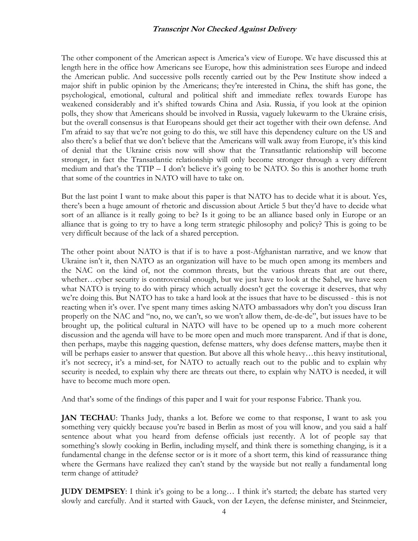The other component of the American aspect is America's view of Europe. We have discussed this at length here in the office how Americans see Europe, how this administration sees Europe and indeed the American public. And successive polls recently carried out by the Pew Institute show indeed a major shift in public opinion by the Americans; they're interested in China, the shift has gone, the psychological, emotional, cultural and political shift and immediate reflex towards Europe has weakened considerably and it's shifted towards China and Asia. Russia, if you look at the opinion polls, they show that Americans should be involved in Russia, vaguely lukewarm to the Ukraine crisis, but the overall consensus is that Europeans should get their act together with their own defense. And I'm afraid to say that we're not going to do this, we still have this dependency culture on the US and also there's a belief that we don't believe that the Americans will walk away from Europe, it's this kind of denial that the Ukraine crisis now will show that the Transatlantic relationship will become stronger, in fact the Transatlantic relationship will only become stronger through a very different medium and that's the TTIP – I don't believe it's going to be NATO. So this is another home truth that some of the countries in NATO will have to take on.

But the last point I want to make about this paper is that NATO has to decide what it is about. Yes, there's been a huge amount of rhetoric and discussion about Article 5 but they'd have to decide what sort of an alliance is it really going to be? Is it going to be an alliance based only in Europe or an alliance that is going to try to have a long term strategic philosophy and policy? This is going to be very difficult because of the lack of a shared perception.

The other point about NATO is that if is to have a post-Afghanistan narrative, and we know that Ukraine isn't it, then NATO as an organization will have to be much open among its members and the NAC on the kind of, not the common threats, but the various threats that are out there, whether…cyber security is controversial enough, but we just have to look at the Sahel, we have seen what NATO is trying to do with piracy which actually doesn't get the coverage it deserves, that why we're doing this. But NATO has to take a hard look at the issues that have to be discussed - this is not reacting when it's over. I've spent many times asking NATO ambassadors why don't you discuss Iran properly on the NAC and "no, no, we can't, so we won't allow them, de-de-de", but issues have to be brought up, the political cultural in NATO will have to be opened up to a much more coherent discussion and the agenda will have to be more open and much more transparent. And if that is done, then perhaps, maybe this nagging question, defense matters, why does defense matters, maybe then it will be perhaps easier to answer that question. But above all this whole heavy...this heavy institutional, it's not secrecy, it's a mind-set, for NATO to actually reach out to the public and to explain why security is needed, to explain why there are threats out there, to explain why NATO is needed, it will have to become much more open.

And that's some of the findings of this paper and I wait for your response Fabrice. Thank you.

**JAN TECHAU**: Thanks Judy, thanks a lot. Before we come to that response, I want to ask you something very quickly because you're based in Berlin as most of you will know, and you said a half sentence about what you heard from defense officials just recently. A lot of people say that something's slowly cooking in Berlin, including myself, and think there is something changing, is it a fundamental change in the defense sector or is it more of a short term, this kind of reassurance thing where the Germans have realized they can't stand by the wayside but not really a fundamental long term change of attitude?

**JUDY DEMPSEY**: I think it's going to be a long… I think it's started; the debate has started very slowly and carefully. And it started with Gauck, von der Leyen, the defense minister, and Steinmeier,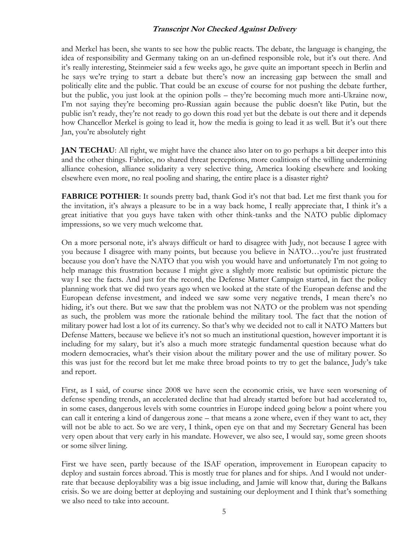and Merkel has been, she wants to see how the public reacts. The debate, the language is changing, the idea of responsibility and Germany taking on an un-defined responsible role, but it's out there. And it's really interesting, Steinmeier said a few weeks ago, he gave quite an important speech in Berlin and he says we're trying to start a debate but there's now an increasing gap between the small and politically elite and the public. That could be an excuse of course for not pushing the debate further, but the public, you just look at the opinion polls – they're becoming much more anti-Ukraine now, I'm not saying they're becoming pro-Russian again because the public doesn't like Putin, but the public isn't ready, they're not ready to go down this road yet but the debate is out there and it depends how Chancellor Merkel is going to lead it, how the media is going to lead it as well. But it's out there Jan, you're absolutely right

**JAN TECHAU**: All right, we might have the chance also later on to go perhaps a bit deeper into this and the other things. Fabrice, no shared threat perceptions, more coalitions of the willing undermining alliance cohesion, alliance solidarity a very selective thing, America looking elsewhere and looking elsewhere even more, no real pooling and sharing, the entire place is a disaster right?

**FABRICE POTHIER:** It sounds pretty bad, thank God it's not that bad. Let me first thank you for the invitation, it's always a pleasure to be in a way back home, I really appreciate that, I think it's a great initiative that you guys have taken with other think-tanks and the NATO public diplomacy impressions, so we very much welcome that.

On a more personal note, it's always difficult or hard to disagree with Judy, not because I agree with you because I disagree with many points, but because you believe in NATO…you're just frustrated because you don't have the NATO that you wish you would have and unfortunately I'm not going to help manage this frustration because I might give a slightly more realistic but optimistic picture the way I see the facts. And just for the record, the Defense Matter Campaign started, in fact the policy planning work that we did two years ago when we looked at the state of the European defense and the European defense investment, and indeed we saw some very negative trends, I mean there's no hiding, it's out there. But we saw that the problem was not NATO or the problem was not spending as such, the problem was more the rationale behind the military tool. The fact that the notion of military power had lost a lot of its currency. So that's why we decided not to call it NATO Matters but Defense Matters, because we believe it's not so much an institutional question, however important it is including for my salary, but it's also a much more strategic fundamental question because what do modern democracies, what's their vision about the military power and the use of military power. So this was just for the record but let me make three broad points to try to get the balance, Judy's take and report.

First, as I said, of course since 2008 we have seen the economic crisis, we have seen worsening of defense spending trends, an accelerated decline that had already started before but had accelerated to, in some cases, dangerous levels with some countries in Europe indeed going below a point where you can call it entering a kind of dangerous zone – that means a zone where, even if they want to act, they will not be able to act. So we are very, I think, open eye on that and my Secretary General has been very open about that very early in his mandate. However, we also see, I would say, some green shoots or some silver lining.

First we have seen, partly because of the ISAF operation, improvement in European capacity to deploy and sustain forces abroad. This is mostly true for planes and for ships. And I would not underrate that because deployability was a big issue including, and Jamie will know that, during the Balkans crisis. So we are doing better at deploying and sustaining our deployment and I think that's something we also need to take into account.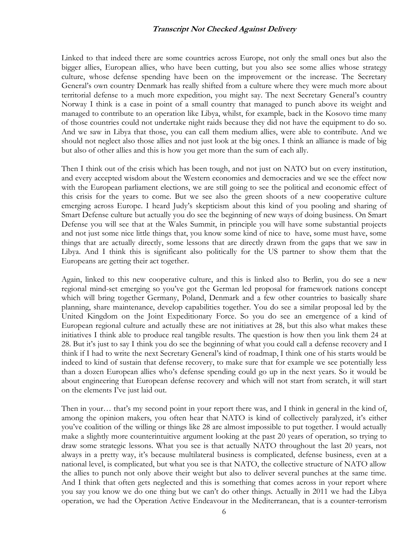Linked to that indeed there are some countries across Europe, not only the small ones but also the bigger allies, European allies, who have been cutting, but you also see some allies whose strategy culture, whose defense spending have been on the improvement or the increase. The Secretary General's own country Denmark has really shifted from a culture where they were much more about territorial defense to a much more expedition, you might say. The next Secretary General's country Norway I think is a case in point of a small country that managed to punch above its weight and managed to contribute to an operation like Libya, whilst, for example, back in the Kosovo time many of those countries could not undertake night raids because they did not have the equipment to do so. And we saw in Libya that those, you can call them medium allies, were able to contribute. And we should not neglect also those allies and not just look at the big ones. I think an alliance is made of big but also of other allies and this is how you get more than the sum of each ally.

Then I think out of the crisis which has been tough, and not just on NATO but on every institution, and every accepted wisdom about the Western economies and democracies and we see the effect now with the European parliament elections, we are still going to see the political and economic effect of this crisis for the years to come. But we see also the green shoots of a new cooperative culture emerging across Europe. I heard Judy's skepticism about this kind of you pooling and sharing of Smart Defense culture but actually you do see the beginning of new ways of doing business. On Smart Defense you will see that at the Wales Summit, in principle you will have some substantial projects and not just some nice little things that, you know some kind of nice to have, some must have, some things that are actually directly, some lessons that are directly drawn from the gaps that we saw in Libya. And I think this is significant also politically for the US partner to show them that the Europeans are getting their act together.

Again, linked to this new cooperative culture, and this is linked also to Berlin, you do see a new regional mind-set emerging so you've got the German led proposal for framework nations concept which will bring together Germany, Poland, Denmark and a few other countries to basically share planning, share maintenance, develop capabilities together. You do see a similar proposal led by the United Kingdom on the Joint Expeditionary Force. So you do see an emergence of a kind of European regional culture and actually these are not initiatives at 28, but this also what makes these initiatives I think able to produce real tangible results. The question is how then you link them 24 at 28. But it's just to say I think you do see the beginning of what you could call a defense recovery and I think if I had to write the next Secretary General's kind of roadmap, I think one of his starts would be indeed to kind of sustain that defense recovery, to make sure that for example we see potentially less than a dozen European allies who's defense spending could go up in the next years. So it would be about engineering that European defense recovery and which will not start from scratch, it will start on the elements I've just laid out.

Then in your… that's my second point in your report there was, and I think in general in the kind of, among the opinion makers, you often hear that NATO is kind of collectively paralyzed, it's either you've coalition of the willing or things like 28 are almost impossible to put together. I would actually make a slightly more counterintuitive argument looking at the past 20 years of operation, so trying to draw some strategic lessons. What you see is that actually NATO throughout the last 20 years, not always in a pretty way, it's because multilateral business is complicated, defense business, even at a national level, is complicated, but what you see is that NATO, the collective structure of NATO allow the allies to punch not only above their weight but also to deliver several punches at the same time. And I think that often gets neglected and this is something that comes across in your report where you say you know we do one thing but we can't do other things. Actually in 2011 we had the Libya operation, we had the Operation Active Endeavour in the Mediterranean, that is a counter-terrorism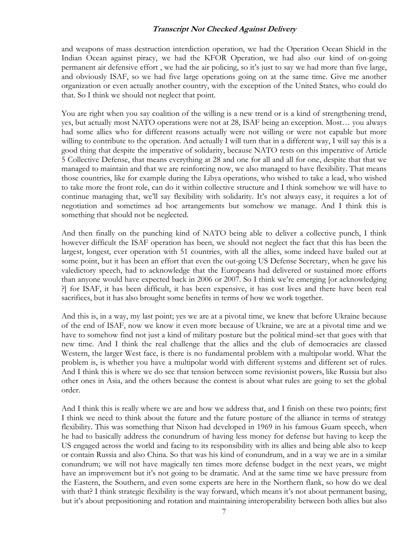and weapons of mass destruction interdiction operation, we had the Operation Ocean Shield in the Indian Ocean against piracy, we had the KFOR Operation, we had also our kind of on-going permanent air defensive effort , we had the air policing, so it's just to say we had more than five large, and obviously ISAF, so we had five large operations going on at the same time. Give me another organization or even actually another country, with the exception of the United States, who could do that. So I think we should not neglect that point.

You are right when you say coalition of the willing is a new trend or is a kind of strengthening trend, yes, but actually most NATO operations were not at 28, ISAF being an exception. Most… you always had some allies who for different reasons actually were not willing or were not capable but more willing to contribute to the operation. And actually I will turn that in a different way, I will say this is a good thing that despite the imperative of solidarity, because NATO rests on this imperative of Article 5 Collective Defense, that means everything at 28 and one for all and all for one, despite that that we managed to maintain and that we are reinforcing now, we also managed to have flexibility. That means those countries, like for example during the Libya operations, who wished to take a lead, who wished to take more the front role, can do it within collective structure and I think somehow we will have to continue managing that, we'll say flexibility with solidarity. It's not always easy, it requires a lot of negotiation and sometimes ad hoc arrangements but somehow we manage. And I think this is something that should not be neglected.

And then finally on the punching kind of NATO being able to deliver a collective punch, I think however difficult the ISAF operation has been, we should not neglect the fact that this has been the largest, longest, ever operation with 51 countries, with all the allies, some indeed have bailed out at some point, but it has been an effort that even the out-going US Defense Secretary, when he gave his valedictory speech, had to acknowledge that the Europeans had delivered or sustained more efforts than anyone would have expected back in 2006 or 2007. So I think we're emerging [or acknowledging ?] for ISAF, it has been difficult, it has been expensive, it has cost lives and there have been real sacrifices, but it has also brought some benefits in terms of how we work together.

And this is, in a way, my last point; yes we are at a pivotal time, we knew that before Ukraine because of the end of ISAF, now we know it even more because of Ukraine, we are at a pivotal time and we have to somehow find not just a kind of military posture but the political mind-set that goes with that new time. And I think the real challenge that the allies and the club of democracies are classed Western, the larger West face, is there is no fundamental problem with a multipolar world. What the problem is, is whether you have a multipolar world with different systems and different set of rules. And I think this is where we do see that tension between some revisionist powers, like Russia but also other ones in Asia, and the others because the contest is about what rules are going to set the global order.

And I think this is really where we are and how we address that, and I finish on these two points; first I think we need to think about the future and the future posture of the alliance in terms of strategy flexibility. This was something that Nixon had developed in 1969 in his famous Guam speech, when he had to basically address the conundrum of having less money for defense but having to keep the US engaged across the world and facing to its responsibility with its allies and being able also to keep or contain Russia and also China. So that was his kind of conundrum, and in a way we are in a similar conundrum; we will not have magically ten times more defense budget in the next years, we might have an improvement but it's not going to be dramatic. And at the same time we have pressure from the Eastern, the Southern, and even some experts are here in the Northern flank, so how do we deal with that? I think strategic flexibility is the way forward, which means it's not about permanent basing, but it's about prepositioning and rotation and maintaining interoperability between both allies but also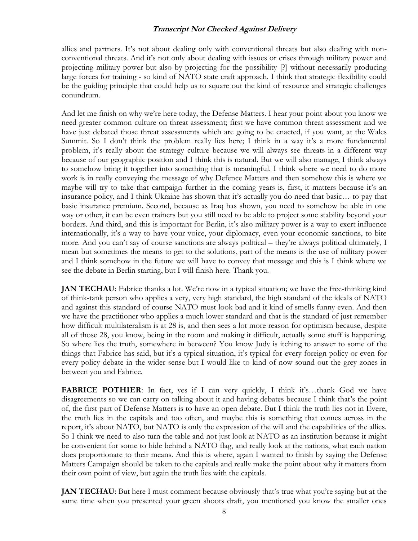allies and partners. It's not about dealing only with conventional threats but also dealing with nonconventional threats. And it's not only about dealing with issues or crises through military power and projecting military power but also by projecting for the possibility [?] without necessarily producing large forces for training - so kind of NATO state craft approach. I think that strategic flexibility could be the guiding principle that could help us to square out the kind of resource and strategic challenges conundrum.

And let me finish on why we're here today, the Defense Matters. I hear your point about you know we need greater common culture on threat assessment; first we have common threat assessment and we have just debated those threat assessments which are going to be enacted, if you want, at the Wales Summit. So I don't think the problem really lies here; I think in a way it's a more fundamental problem, it's really about the strategy culture because we will always see threats in a different way because of our geographic position and I think this is natural. But we will also manage, I think always to somehow bring it together into something that is meaningful. I think where we need to do more work is in really conveying the message of why Defence Matters and then somehow this is where we maybe will try to take that campaign further in the coming years is, first, it matters because it's an insurance policy, and I think Ukraine has shown that it's actually you do need that basic… to pay that basic insurance premium. Second, because as Iraq has shown, you need to somehow be able in one way or other, it can be even trainers but you still need to be able to project some stability beyond your borders. And third, and this is important for Berlin, it's also military power is a way to exert influence internationally, it's a way to have your voice, your diplomacy, even your economic sanctions, to bite more. And you can't say of course sanctions are always political – they're always political ultimately, I mean but sometimes the means to get to the solutions, part of the means is the use of military power and I think somehow in the future we will have to convey that message and this is I think where we see the debate in Berlin starting, but I will finish here. Thank you.

**JAN TECHAU**: Fabrice thanks a lot. We're now in a typical situation; we have the free-thinking kind of think-tank person who applies a very, very high standard, the high standard of the ideals of NATO and against this standard of course NATO must look bad and it kind of smells funny even. And then we have the practitioner who applies a much lower standard and that is the standard of just remember how difficult multilateralism is at 28 is, and then sees a lot more reason for optimism because, despite all of those 28, you know, being in the room and making it difficult, actually some stuff is happening. So where lies the truth, somewhere in between? You know Judy is itching to answer to some of the things that Fabrice has said, but it's a typical situation, it's typical for every foreign policy or even for every policy debate in the wider sense but I would like to kind of now sound out the grey zones in between you and Fabrice.

**FABRICE POTHIER:** In fact, yes if I can very quickly, I think it's...thank God we have disagreements so we can carry on talking about it and having debates because I think that's the point of, the first part of Defense Matters is to have an open debate. But I think the truth lies not in Evere, the truth lies in the capitals and too often, and maybe this is something that comes across in the report, it's about NATO, but NATO is only the expression of the will and the capabilities of the allies. So I think we need to also turn the table and not just look at NATO as an institution because it might be convenient for some to hide behind a NATO flag, and really look at the nations, what each nation does proportionate to their means. And this is where, again I wanted to finish by saying the Defense Matters Campaign should be taken to the capitals and really make the point about why it matters from their own point of view, but again the truth lies with the capitals.

**JAN TECHAU**: But here I must comment because obviously that's true what you're saying but at the same time when you presented your green shoots draft, you mentioned you know the smaller ones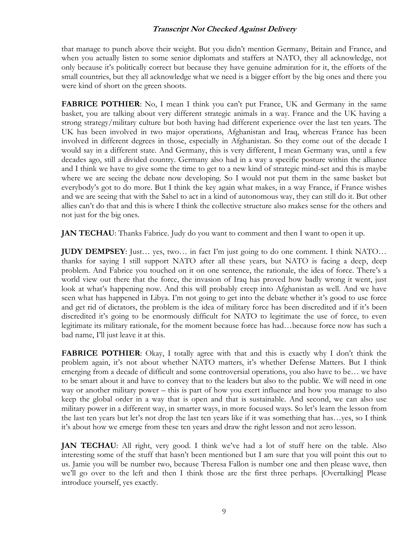that manage to punch above their weight. But you didn't mention Germany, Britain and France, and when you actually listen to some senior diplomats and staffers at NATO, they all acknowledge, not only because it's politically correct but because they have genuine admiration for it, the efforts of the small countries, but they all acknowledge what we need is a bigger effort by the big ones and there you were kind of short on the green shoots.

**FABRICE POTHIER:** No, I mean I think you can't put France, UK and Germany in the same basket, you are talking about very different strategic animals in a way. France and the UK having a strong strategy/military culture but both having had different experience over the last ten years. The UK has been involved in two major operations, Afghanistan and Iraq, whereas France has been involved in different degrees in those, especially in Afghanistan. So they come out of the decade I would say in a different state. And Germany, this is very different, I mean Germany was, until a few decades ago, still a divided country. Germany also had in a way a specific posture within the alliance and I think we have to give some the time to get to a new kind of strategic mind-set and this is maybe where we are seeing the debate now developing. So I would not put them in the same basket but everybody's got to do more. But I think the key again what makes, in a way France, if France wishes and we are seeing that with the Sahel to act in a kind of autonomous way, they can still do it. But other allies can't do that and this is where I think the collective structure also makes sense for the others and not just for the big ones.

**JAN TECHAU**: Thanks Fabrice. Judy do you want to comment and then I want to open it up.

**JUDY DEMPSEY**: Just… yes, two… in fact I'm just going to do one comment. I think NATO… thanks for saying I still support NATO after all these years, but NATO is facing a deep, deep problem. And Fabrice you touched on it on one sentence, the rationale, the idea of force. There's a world view out there that the force, the invasion of Iraq has proved how badly wrong it went, just look at what's happening now. And this will probably creep into Afghanistan as well. And we have seen what has happened in Libya. I'm not going to get into the debate whether it's good to use force and get rid of dictators, the problem is the idea of military force has been discredited and if it's been discredited it's going to be enormously difficult for NATO to legitimate the use of force, to even legitimate its military rationale, for the moment because force has had…because force now has such a bad name, I'll just leave it at this.

FABRICE POTHIER: Okay, I totally agree with that and this is exactly why I don't think the problem again, it's not about whether NATO matters, it's whether Defense Matters. But I think emerging from a decade of difficult and some controversial operations, you also have to be… we have to be smart about it and have to convey that to the leaders but also to the public. We will need in one way or another military power – this is part of how you exert influence and how you manage to also keep the global order in a way that is open and that is sustainable. And second, we can also use military power in a different way, in smarter ways, in more focused ways. So let's learn the lesson from the last ten years but let's not drop the last ten years like if it was something that has…yes, so I think it's about how we emerge from these ten years and draw the right lesson and not zero lesson.

**JAN TECHAU**: All right, very good. I think we've had a lot of stuff here on the table. Also interesting some of the stuff that hasn't been mentioned but I am sure that you will point this out to us. Jamie you will be number two, because Theresa Fallon is number one and then please wave, then we'll go over to the left and then I think those are the first three perhaps. [Overtalking] Please introduce yourself, yes exactly.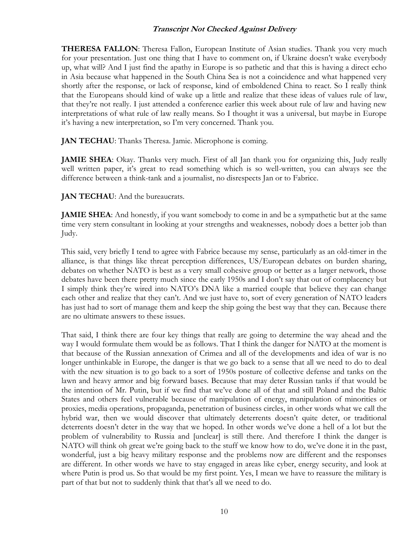**THERESA FALLON**: Theresa Fallon, European Institute of Asian studies. Thank you very much for your presentation. Just one thing that I have to comment on, if Ukraine doesn't wake everybody up, what will? And I just find the apathy in Europe is so pathetic and that this is having a direct echo in Asia because what happened in the South China Sea is not a coincidence and what happened very shortly after the response, or lack of response, kind of emboldened China to react. So I really think that the Europeans should kind of wake up a little and realize that these ideas of values rule of law, that they're not really. I just attended a conference earlier this week about rule of law and having new interpretations of what rule of law really means. So I thought it was a universal, but maybe in Europe it's having a new interpretation, so I'm very concerned. Thank you.

**JAN TECHAU**: Thanks Theresa. Jamie. Microphone is coming.

**JAMIE SHEA**: Okay. Thanks very much. First of all Jan thank you for organizing this, Judy really well written paper, it's great to read something which is so well-written, you can always see the difference between a think-tank and a journalist, no disrespects Jan or to Fabrice.

**JAN TECHAU**: And the bureaucrats.

**JAMIE SHEA**: And honestly, if you want somebody to come in and be a sympathetic but at the same time very stern consultant in looking at your strengths and weaknesses, nobody does a better job than Judy.

This said, very briefly I tend to agree with Fabrice because my sense, particularly as an old-timer in the alliance, is that things like threat perception differences, US/European debates on burden sharing, debates on whether NATO is best as a very small cohesive group or better as a larger network, those debates have been there pretty much since the early 1950s and I don't say that out of complacency but I simply think they're wired into NATO's DNA like a married couple that believe they can change each other and realize that they can't. And we just have to, sort of every generation of NATO leaders has just had to sort of manage them and keep the ship going the best way that they can. Because there are no ultimate answers to these issues.

That said, I think there are four key things that really are going to determine the way ahead and the way I would formulate them would be as follows. That I think the danger for NATO at the moment is that because of the Russian annexation of Crimea and all of the developments and idea of war is no longer unthinkable in Europe, the danger is that we go back to a sense that all we need to do to deal with the new situation is to go back to a sort of 1950s posture of collective defense and tanks on the lawn and heavy armor and big forward bases. Because that may deter Russian tanks if that would be the intention of Mr. Putin, but if we find that we've done all of that and still Poland and the Baltic States and others feel vulnerable because of manipulation of energy, manipulation of minorities or proxies, media operations, propaganda, penetration of business circles, in other words what we call the hybrid war, then we would discover that ultimately deterrents doesn't quite deter, or traditional deterrents doesn't deter in the way that we hoped. In other words we've done a hell of a lot but the problem of vulnerability to Russia and [unclear] is still there. And therefore I think the danger is NATO will think oh great we're going back to the stuff we know how to do, we've done it in the past, wonderful, just a big heavy military response and the problems now are different and the responses are different. In other words we have to stay engaged in areas like cyber, energy security, and look at where Putin is prod us. So that would be my first point. Yes, I mean we have to reassure the military is part of that but not to suddenly think that that's all we need to do.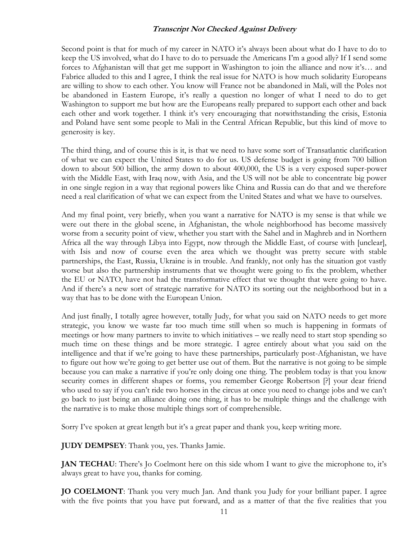Second point is that for much of my career in NATO it's always been about what do I have to do to keep the US involved, what do I have to do to persuade the Americans I'm a good ally? If I send some forces to Afghanistan will that get me support in Washington to join the alliance and now it's… and Fabrice alluded to this and I agree, I think the real issue for NATO is how much solidarity Europeans are willing to show to each other. You know will France not be abandoned in Mali, will the Poles not be abandoned in Eastern Europe, it's really a question no longer of what I need to do to get Washington to support me but how are the Europeans really prepared to support each other and back each other and work together. I think it's very encouraging that notwithstanding the crisis, Estonia and Poland have sent some people to Mali in the Central African Republic, but this kind of move to generosity is key.

The third thing, and of course this is it, is that we need to have some sort of Transatlantic clarification of what we can expect the United States to do for us. US defense budget is going from 700 billion down to about 500 billion, the army down to about 400,000, the US is a very exposed super-power with the Middle East, with Iraq now, with Asia, and the US will not be able to concentrate big power in one single region in a way that regional powers like China and Russia can do that and we therefore need a real clarification of what we can expect from the United States and what we have to ourselves.

And my final point, very briefly, when you want a narrative for NATO is my sense is that while we were out there in the global scene, in Afghanistan, the whole neighborhood has become massively worse from a security point of view, whether you start with the Sahel and in Maghreb and in Northern Africa all the way through Libya into Egypt, now through the Middle East, of course with [unclear], with Isis and now of course even the area which we thought was pretty secure with stable partnerships, the East, Russia, Ukraine is in trouble. And frankly, not only has the situation got vastly worse but also the partnership instruments that we thought were going to fix the problem, whether the EU or NATO, have not had the transformative effect that we thought that were going to have. And if there's a new sort of strategic narrative for NATO its sorting out the neighborhood but in a way that has to be done with the European Union.

And just finally, I totally agree however, totally Judy, for what you said on NATO needs to get more strategic, you know we waste far too much time still when so much is happening in formats of meetings or how many partners to invite to which initiatives – we really need to start stop spending so much time on these things and be more strategic. I agree entirely about what you said on the intelligence and that if we're going to have these partnerships, particularly post-Afghanistan, we have to figure out how we're going to get better use out of them. But the narrative is not going to be simple because you can make a narrative if you're only doing one thing. The problem today is that you know security comes in different shapes or forms, you remember George Robertson [?] your dear friend who used to say if you can't ride two horses in the circus at once you need to change jobs and we can't go back to just being an alliance doing one thing, it has to be multiple things and the challenge with the narrative is to make those multiple things sort of comprehensible.

Sorry I've spoken at great length but it's a great paper and thank you, keep writing more.

**JUDY DEMPSEY**: Thank you, yes. Thanks Jamie.

**JAN TECHAU:** There's Jo Coelmont here on this side whom I want to give the microphone to, it's always great to have you, thanks for coming.

**JO COELMONT**: Thank you very much Jan. And thank you Judy for your brilliant paper. I agree with the five points that you have put forward, and as a matter of that the five realities that you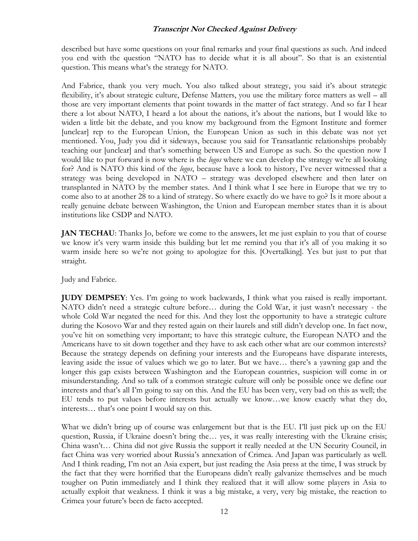described but have some questions on your final remarks and your final questions as such. And indeed you end with the question "NATO has to decide what it is all about". So that is an existential question. This means what's the strategy for NATO.

And Fabrice, thank you very much. You also talked about strategy, you said it's about strategic flexibility, it's about strategic culture, Defense Matters, you use the military force matters as well – all those are very important elements that point towards in the matter of fact strategy. And so far I hear there a lot about NATO, I heard a lot about the nations, it's about the nations, but I would like to widen a little bit the debate, and you know my background from the Egmont Institute and former [unclear] rep to the European Union, the European Union as such in this debate was not yet mentioned. You, Judy you did it sideways, because you said for Transatlantic relationships probably teaching our [unclear] and that's something between US and Europe as such. So the question now I would like to put forward is now where is the *logos* where we can develop the strategy we're all looking for? And is NATO this kind of the *logos*, because have a look to history, I've never witnessed that a strategy was being developed in NATO – strategy was developed elsewhere and then later on transplanted in NATO by the member states. And I think what I see here in Europe that we try to come also to at another 28 to a kind of strategy. So where exactly do we have to go? Is it more about a really genuine debate between Washington, the Union and European member states than it is about institutions like CSDP and NATO.

**JAN TECHAU**: Thanks Jo, before we come to the answers, let me just explain to you that of course we know it's very warm inside this building but let me remind you that it's all of you making it so warm inside here so we're not going to apologize for this. [Overtalking]. Yes but just to put that straight.

Judy and Fabrice.

**JUDY DEMPSEY**: Yes. I'm going to work backwards, I think what you raised is really important. NATO didn't need a strategic culture before… during the Cold War, it just wasn't necessary - the whole Cold War negated the need for this. And they lost the opportunity to have a strategic culture during the Kosovo War and they rested again on their laurels and still didn't develop one. In fact now, you've hit on something very important; to have this strategic culture, the European NATO and the Americans have to sit down together and they have to ask each other what are our common interests? Because the strategy depends on defining your interests and the Europeans have disparate interests, leaving aside the issue of values which we go to later. But we have… there's a yawning gap and the longer this gap exists between Washington and the European countries, suspicion will come in or misunderstanding. And so talk of a common strategic culture will only be possible once we define our interests and that's all I'm going to say on this. And the EU has been very, very bad on this as well; the EU tends to put values before interests but actually we know…we know exactly what they do, interests… that's one point I would say on this.

What we didn't bring up of course was enlargement but that is the EU. I'll just pick up on the EU question, Russia, if Ukraine doesn't bring the... yes, it was really interesting with the Ukraine crisis; China wasn't… China did not give Russia the support it really needed at the UN Security Council, in fact China was very worried about Russia's annexation of Crimea. And Japan was particularly as well. And I think reading, I'm not an Asia expert, but just reading the Asia press at the time, I was struck by the fact that they were horrified that the Europeans didn't really galvanize themselves and be much tougher on Putin immediately and I think they realized that it will allow some players in Asia to actually exploit that weakness. I think it was a big mistake, a very, very big mistake, the reaction to Crimea your future's been de facto accepted.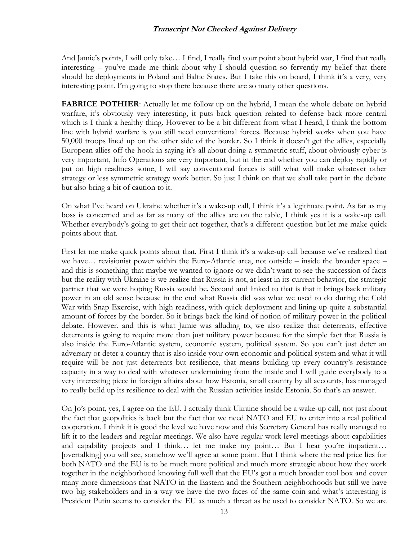And Jamie's points, I will only take… I find, I really find your point about hybrid war, I find that really interesting – you've made me think about why I should question so fervently my belief that there should be deployments in Poland and Baltic States. But I take this on board, I think it's a very, very interesting point. I'm going to stop there because there are so many other questions.

**FABRICE POTHIER:** Actually let me follow up on the hybrid, I mean the whole debate on hybrid warfare, it's obviously very interesting, it puts back question related to defense back more central which is I think a healthy thing. However to be a bit different from what I heard, I think the bottom line with hybrid warfare is you still need conventional forces. Because hybrid works when you have 50,000 troops lined up on the other side of the border. So I think it doesn't get the allies, especially European allies off the hook in saying it's all about doing a symmetric stuff, about obviously cyber is very important, Info Operations are very important, but in the end whether you can deploy rapidly or put on high readiness some, I will say conventional forces is still what will make whatever other strategy or less symmetric strategy work better. So just I think on that we shall take part in the debate but also bring a bit of caution to it.

On what I've heard on Ukraine whether it's a wake-up call, I think it's a legitimate point. As far as my boss is concerned and as far as many of the allies are on the table, I think yes it is a wake-up call. Whether everybody's going to get their act together, that's a different question but let me make quick points about that.

First let me make quick points about that. First I think it's a wake-up call because we've realized that we have… revisionist power within the Euro-Atlantic area, not outside – inside the broader space – and this is something that maybe we wanted to ignore or we didn't want to see the succession of facts but the reality with Ukraine is we realize that Russia is not, at least in its current behavior, the strategic partner that we were hoping Russia would be. Second and linked to that is that it brings back military power in an old sense because in the end what Russia did was what we used to do during the Cold War with Snap Exercise, with high readiness, with quick deployment and lining up quite a substantial amount of forces by the border. So it brings back the kind of notion of military power in the political debate. However, and this is what Jamie was alluding to, we also realize that deterrents, effective deterrents is going to require more than just military power because for the simple fact that Russia is also inside the Euro-Atlantic system, economic system, political system. So you can't just deter an adversary or deter a country that is also inside your own economic and political system and what it will require will be not just deterrents but resilience, that means building up every country's resistance capacity in a way to deal with whatever undermining from the inside and I will guide everybody to a very interesting piece in foreign affairs about how Estonia, small country by all accounts, has managed to really build up its resilience to deal with the Russian activities inside Estonia. So that's an answer.

On Jo's point, yes, I agree on the EU. I actually think Ukraine should be a wake-up call, not just about the fact that geopolitics is back but the fact that we need NATO and EU to enter into a real political cooperation. I think it is good the level we have now and this Secretary General has really managed to lift it to the leaders and regular meetings. We also have regular work level meetings about capabilities and capability projects and I think… let me make my point… But I hear you're impatient… [overtalking] you will see, somehow we'll agree at some point. But I think where the real price lies for both NATO and the EU is to be much more political and much more strategic about how they work together in the neighborhood knowing full well that the EU's got a much broader tool box and cover many more dimensions that NATO in the Eastern and the Southern neighborhoods but still we have two big stakeholders and in a way we have the two faces of the same coin and what's interesting is President Putin seems to consider the EU as much a threat as he used to consider NATO. So we are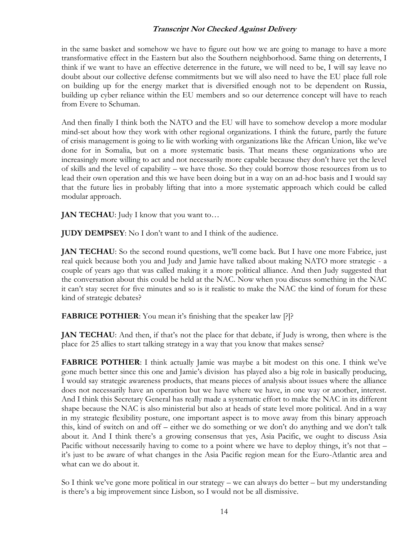in the same basket and somehow we have to figure out how we are going to manage to have a more transformative effect in the Eastern but also the Southern neighborhood. Same thing on deterrents, I think if we want to have an effective deterrence in the future, we will need to be, I will say leave no doubt about our collective defense commitments but we will also need to have the EU place full role on building up for the energy market that is diversified enough not to be dependent on Russia, building up cyber reliance within the EU members and so our deterrence concept will have to reach from Evere to Schuman.

And then finally I think both the NATO and the EU will have to somehow develop a more modular mind-set about how they work with other regional organizations. I think the future, partly the future of crisis management is going to lie with working with organizations like the African Union, like we've done for in Somalia, but on a more systematic basis. That means these organizations who are increasingly more willing to act and not necessarily more capable because they don't have yet the level of skills and the level of capability – we have those. So they could borrow those resources from us to lead their own operation and this we have been doing but in a way on an ad-hoc basis and I would say that the future lies in probably lifting that into a more systematic approach which could be called modular approach.

**JAN TECHAU:** Judy I know that you want to...

**JUDY DEMPSEY**: No I don't want to and I think of the audience.

**JAN TECHAU**: So the second round questions, we'll come back. But I have one more Fabrice, just real quick because both you and Judy and Jamie have talked about making NATO more strategic - a couple of years ago that was called making it a more political alliance. And then Judy suggested that the conversation about this could be held at the NAC. Now when you discuss something in the NAC it can't stay secret for five minutes and so is it realistic to make the NAC the kind of forum for these kind of strategic debates?

**FABRICE POTHIER**: You mean it's finishing that the speaker law [?]?

**JAN TECHAU**: And then, if that's not the place for that debate, if Judy is wrong, then where is the place for 25 allies to start talking strategy in a way that you know that makes sense?

**FABRICE POTHIER**: I think actually Jamie was maybe a bit modest on this one. I think we've gone much better since this one and Jamie's division has played also a big role in basically producing, I would say strategic awareness products, that means pieces of analysis about issues where the alliance does not necessarily have an operation but we have where we have, in one way or another, interest. And I think this Secretary General has really made a systematic effort to make the NAC in its different shape because the NAC is also ministerial but also at heads of state level more political. And in a way in my strategic flexibility posture, one important aspect is to move away from this binary approach this, kind of switch on and off – either we do something or we don't do anything and we don't talk about it. And I think there's a growing consensus that yes, Asia Pacific, we ought to discuss Asia Pacific without necessarily having to come to a point where we have to deploy things, it's not that – it's just to be aware of what changes in the Asia Pacific region mean for the Euro-Atlantic area and what can we do about it.

So I think we've gone more political in our strategy – we can always do better – but my understanding is there's a big improvement since Lisbon, so I would not be all dismissive.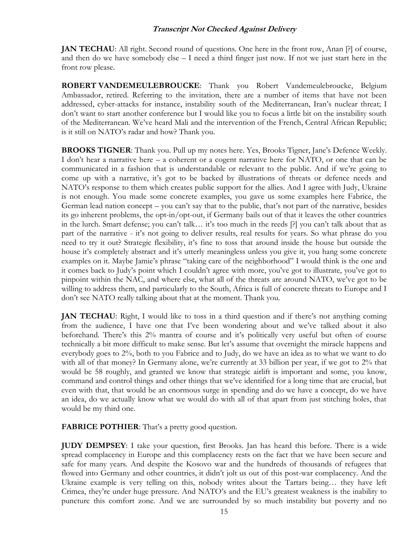**JAN TECHAU**: All right. Second round of questions. One here in the front row, Anan [?] of course, and then do we have somebody else  $-1$  need a third finger just now. If not we just start here in the front row please.

**ROBERT VANDEMEULEBROUCKE**: Thank you Robert Vandemeulebroucke, Belgium Ambassador, retired. Referring to the invitation, there are a number of items that have not been addressed, cyber-attacks for instance, instability south of the Mediterranean, Iran's nuclear threat; I don't want to start another conference but I would like you to focus a little bit on the instability south of the Mediterranean. We've heard Mali and the intervention of the French, Central African Republic; is it still on NATO's radar and how? Thank you.

**BROOKS TIGNER**: Thank you. Pull up my notes here. Yes, Brooks Tigner, Jane's Defence Weekly. I don't hear a narrative here – a coherent or a cogent narrative here for NATO, or one that can be communicated in a fashion that is understandable or relevant to the public. And if we're going to come up with a narrative, it's got to be backed by illustrations of threats or defence needs and NATO's response to them which creates public support for the allies. And I agree with Judy, Ukraine is not enough. You made some concrete examples, you gave us some examples here Fabrice, the German lead nation concept – you can't say that to the public, that's not part of the narrative, besides its go inherent problems, the opt-in/opt-out, if Germany bails out of that it leaves the other countries in the lurch. Smart defense; you can't talk… it's too much in the reeds [?] you can't talk about that as part of the narrative - it's not going to deliver results, real results for years. So what phrase do you need to try it out? Strategic flexibility, it's fine to toss that around inside the house but outside the house it's completely abstract and it's utterly meaningless unless you give it, you hang some concrete examples on it. Maybe Jamie's phrase "taking care of the neighborhood" I would think is the one and it comes back to Judy's point which I couldn't agree with more, you've got to illustrate, you've got to pinpoint within the NAC, and where else, what all of the threats are around NATO, we've got to be willing to address them, and particularly to the South, Africa is full of concrete threats to Europe and I don't see NATO really talking about that at the moment. Thank you.

**JAN TECHAU**: Right, I would like to toss in a third question and if there's not anything coming from the audience, I have one that I've been wondering about and we've talked about it also beforehand. There's this 2% mantra of course and it's politically very useful but often of course technically a bit more difficult to make sense. But let's assume that overnight the miracle happens and everybody goes to 2%, both to you Fabrice and to Judy, do we have an idea as to what we want to do with all of that money? In Germany alone, we're currently at 33 billion per year, if we got to 2% that would be 58 roughly, and granted we know that strategic airlift is important and some, you know, command and control things and other things that we've identified for a long time that are crucial, but even with that, that would be an enormous surge in spending and do we have a concept, do we have an idea, do we actually know what we would do with all of that apart from just stitching holes, that would be my third one.

**FABRICE POTHIER:** That's a pretty good question.

**JUDY DEMPSEY**: I take your question, first Brooks. Jan has heard this before. There is a wide spread complacency in Europe and this complacency rests on the fact that we have been secure and safe for many years. And despite the Kosovo war and the hundreds of thousands of refugees that flowed into Germany and other countries, it didn't jolt us out of this post-war complacency. And the Ukraine example is very telling on this, nobody writes about the Tartars being… they have left Crimea, they're under huge pressure. And NATO's and the EU's greatest weakness is the inability to puncture this comfort zone. And we are surrounded by so much instability but poverty and no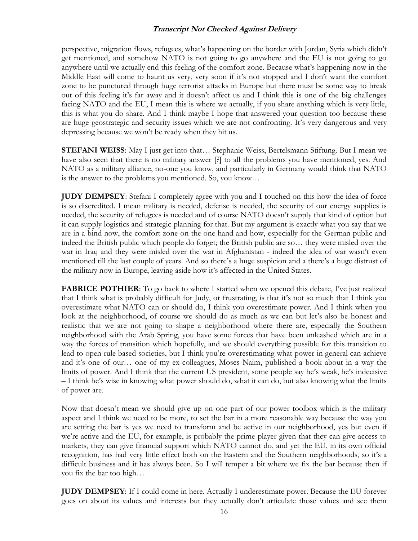perspective, migration flows, refugees, what's happening on the border with Jordan, Syria which didn't get mentioned, and somehow NATO is not going to go anywhere and the EU is not going to go anywhere until we actually end this feeling of the comfort zone. Because what's happening now in the Middle East will come to haunt us very, very soon if it's not stopped and I don't want the comfort zone to be punctured through huge terrorist attacks in Europe but there must be some way to break out of this feeling it's far away and it doesn't affect us and I think this is one of the big challenges facing NATO and the EU, I mean this is where we actually, if you share anything which is very little, this is what you do share. And I think maybe I hope that answered your question too because these are huge geostrategic and security issues which we are not confronting. It's very dangerous and very depressing because we won't be ready when they hit us.

**STEFANI WEISS**: May I just get into that… Stephanie Weiss, Bertelsmann Stiftung. But I mean we have also seen that there is no military answer [?] to all the problems you have mentioned, yes. And NATO as a military alliance, no-one you know, and particularly in Germany would think that NATO is the answer to the problems you mentioned. So, you know…

**JUDY DEMPSEY**: Stefani I completely agree with you and I touched on this how the idea of force is so discredited. I mean military is needed, defense is needed, the security of our energy supplies is needed, the security of refugees is needed and of course NATO doesn't supply that kind of option but it can supply logistics and strategic planning for that. But my argument is exactly what you say that we are in a bind now, the comfort zone on the one hand and how, especially for the German public and indeed the British public which people do forget; the British public are so… they were misled over the war in Iraq and they were misled over the war in Afghanistan - indeed the idea of war wasn't even mentioned till the last couple of years. And so there's a huge suspicion and a there's a huge distrust of the military now in Europe, leaving aside how it's affected in the United States.

**FABRICE POTHIER:** To go back to where I started when we opened this debate, I've just realized that I think what is probably difficult for Judy, or frustrating, is that it's not so much that I think you overestimate what NATO can or should do, I think you overestimate power. And I think when you look at the neighborhood, of course we should do as much as we can but let's also be honest and realistic that we are not going to shape a neighborhood where there are, especially the Southern neighborhood with the Arab Spring, you have some forces that have been unleashed which are in a way the forces of transition which hopefully, and we should everything possible for this transition to lead to open rule based societies, but I think you're overestimating what power in general can achieve and it's one of our… one of my ex-colleagues, Moses Naim, published a book about in a way the limits of power. And I think that the current US president, some people say he's weak, he's indecisive – I think he's wise in knowing what power should do, what it can do, but also knowing what the limits of power are.

Now that doesn't mean we should give up on one part of our power toolbox which is the military aspect and I think we need to be more, to set the bar in a more reasonable way because the way you are setting the bar is yes we need to transform and be active in our neighborhood, yes but even if we're active and the EU, for example, is probably the prime player given that they can give access to markets, they can give financial support which NATO cannot do, and yet the EU, in its own official recognition, has had very little effect both on the Eastern and the Southern neighborhoods, so it's a difficult business and it has always been. So I will temper a bit where we fix the bar because then if you fix the bar too high…

**JUDY DEMPSEY**: If I could come in here. Actually I underestimate power. Because the EU forever goes on about its values and interests but they actually don't articulate those values and see them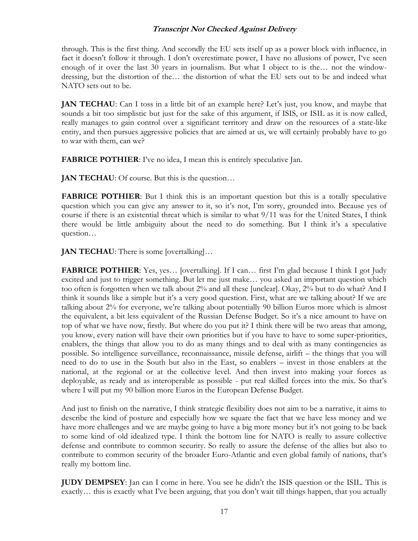through. This is the first thing. And secondly the EU sets itself up as a power block with influence, in fact it doesn't follow it through. I don't overestimate power, I have no allusions of power, I've seen enough of it over the last 30 years in journalism. But what I object to is the… not the windowdressing, but the distortion of the… the distortion of what the EU sets out to be and indeed what NATO sets out to be.

**JAN TECHAU**: Can I toss in a little bit of an example here? Let's just, you know, and maybe that sounds a bit too simplistic but just for the sake of this argument, if ISIS, or ISIL as it is now called, really manages to gain control over a significant territory and draw on the resources of a state-like entity, and then pursues aggressive policies that are aimed at us, we will certainly probably have to go to war with them, can we?

**FABRICE POTHIER:** I've no idea, I mean this is entirely speculative Jan.

**JAN TECHAU**: Of course. But this is the question...

**FABRICE POTHIER:** But I think this is an important question but this is a totally speculative question which you can give any answer to it, so it's not, I'm sorry, grounded into. Because yes of course if there is an existential threat which is similar to what 9/11 was for the United States, I think there would be little ambiguity about the need to do something. But I think it's a speculative question…

**JAN TECHAU**: There is some [overtalking]...

FABRICE POTHIER: Yes, yes... [overtalking]. If I can... first I'm glad because I think I got Judy excited and just to trigger something. But let me just make… you asked an important question which too often is forgotten when we talk about 2% and all these [unclear]. Okay, 2% but to do what? And I think it sounds like a simple but it's a very good question. First, what are we talking about? If we are talking about 2% for everyone, we're talking about potentially 90 billion Euros more which is almost the equivalent, a bit less equivalent of the Russian Defense Budget. So it's a nice amount to have on top of what we have now, firstly. But where do you put it? I think there will be two areas that among, you know, every nation will have their own priorities but if you have to have to some super-priorities, enablers, the things that allow you to do as many things and to deal with as many contingencies as possible. So intelligence surveillance, reconnaissance, missile defense, airlift – the things that you will need to do to use in the South but also in the East, so enablers – invest in those enablers at the national, at the regional or at the collective level. And then invest into making your forces as deployable, as ready and as interoperable as possible - put real skilled forces into the mix. So that's where I will put my 90 billion more Euros in the European Defense Budget.

And just to finish on the narrative, I think strategic flexibility does not aim to be a narrative, it aims to describe the kind of posture and especially how we square the fact that we have less money and we have more challenges and we are maybe going to have a big more money but it's not going to be back to some kind of old idealized type. I think the bottom line for NATO is really to assure collective defense and contribute to common security. So really to assure the defense of the allies but also to contribute to common security of the broader Euro-Atlantic and even global family of nations, that's really my bottom line.

**JUDY DEMPSEY**: Jan can I come in here. You see he didn't the ISIS question or the ISIL. This is exactly… this is exactly what I've been arguing, that you don't wait till things happen, that you actually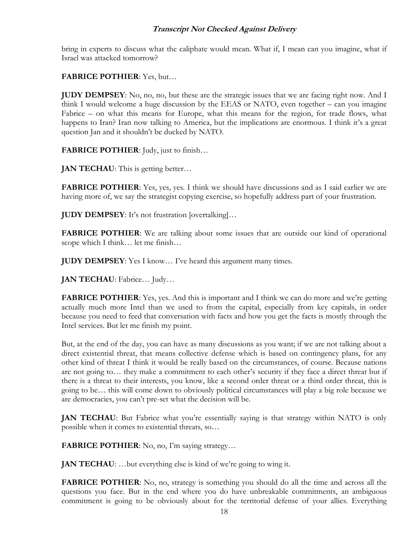bring in experts to discuss what the caliphate would mean. What if, I mean can you imagine, what if Israel was attacked tomorrow?

**FABRICE POTHIER**: Yes, but…

**JUDY DEMPSEY**: No, no, no, but these are the strategic issues that we are facing right now. And I think I would welcome a huge discussion by the EEAS or NATO, even together – can you imagine Fabrice – on what this means for Europe, what this means for the region, for trade flows, what happens to Iran? Iran now talking to America, but the implications are enormous. I think it's a great question Jan and it shouldn't be ducked by NATO.

**FABRICE POTHIER**: Judy, just to finish…

**JAN TECHAU**: This is getting better...

**FABRICE POTHIER:** Yes, yes, yes. I think we should have discussions and as I said earlier we are having more of, we say the strategist copying exercise, so hopefully address part of your frustration.

**JUDY DEMPSEY**: It's not frustration [overtalking]…

**FABRICE POTHIER:** We are talking about some issues that are outside our kind of operational scope which I think… let me finish…

**JUDY DEMPSEY**: Yes I know… I've heard this argument many times.

**JAN TECHAU**: Fabrice… Judy…

**FABRICE POTHIER:** Yes, yes. And this is important and I think we can do more and we're getting actually much more Intel than we used to from the capital, especially from key capitals, in order because you need to feed that conversation with facts and how you get the facts is mostly through the Intel services. But let me finish my point.

But, at the end of the day, you can have as many discussions as you want; if we are not talking about a direct existential threat, that means collective defense which is based on contingency plans, for any other kind of threat I think it would be really based on the circumstances, of course. Because nations are not going to… they make a commitment to each other's security if they face a direct threat but if there is a threat to their interests, you know, like a second order threat or a third order threat, this is going to be… this will come down to obviously political circumstances will play a big role because we are democracies, you can't pre-set what the decision will be.

**JAN TECHAU**: But Fabrice what you're essentially saying is that strategy within NATO is only possible when it comes to existential threats, so…

**FABRICE POTHIER:** No, no, I'm saying strategy...

**JAN TECHAU:** ...but everything else is kind of we're going to wing it.

**FABRICE POTHIER:** No, no, strategy is something you should do all the time and across all the questions you face. But in the end where you do have unbreakable commitments, an ambiguous commitment is going to be obviously about for the territorial defense of your allies. Everything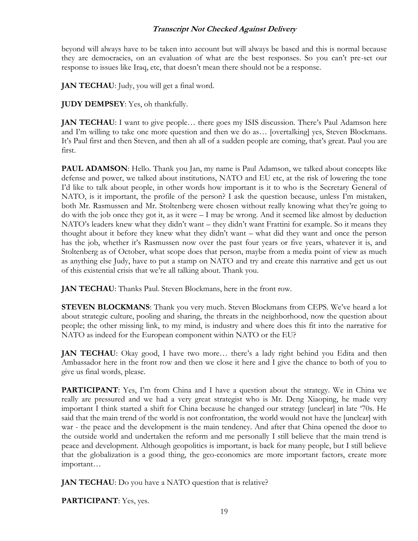beyond will always have to be taken into account but will always be based and this is normal because they are democracies, on an evaluation of what are the best responses. So you can't pre-set our response to issues like Iraq, etc, that doesn't mean there should not be a response.

**JAN TECHAU**: Judy, you will get a final word.

**JUDY DEMPSEY**: Yes, oh thankfully.

**JAN TECHAU**: I want to give people... there goes my ISIS discussion. There's Paul Adamson here and I'm willing to take one more question and then we do as… [overtalking] yes, Steven Blockmans. It's Paul first and then Steven, and then ah all of a sudden people are coming, that's great. Paul you are first.

**PAUL ADAMSON**: Hello. Thank you Jan, my name is Paul Adamson, we talked about concepts like defense and power, we talked about institutions, NATO and EU etc, at the risk of lowering the tone I'd like to talk about people, in other words how important is it to who is the Secretary General of NATO, is it important, the profile of the person? I ask the question because, unless I'm mistaken, both Mr. Rasmussen and Mr. Stoltenberg were chosen without really knowing what they're going to do with the job once they got it, as it were – I may be wrong. And it seemed like almost by deduction NATO's leaders knew what they didn't want – they didn't want Frattini for example. So it means they thought about it before they knew what they didn't want – what did they want and once the person has the job, whether it's Rasmussen now over the past four years or five years, whatever it is, and Stoltenberg as of October, what scope does that person, maybe from a media point of view as much as anything else Judy, have to put a stamp on NATO and try and create this narrative and get us out of this existential crisis that we're all talking about. Thank you.

**JAN TECHAU**: Thanks Paul. Steven Blockmans, here in the front row.

**STEVEN BLOCKMANS:** Thank you very much. Steven Blockmans from CEPS. We've heard a lot about strategic culture, pooling and sharing, the threats in the neighborhood, now the question about people; the other missing link, to my mind, is industry and where does this fit into the narrative for NATO as indeed for the European component within NATO or the EU?

**JAN TECHAU**: Okay good, I have two more… there's a lady right behind you Edita and then Ambassador here in the front row and then we close it here and I give the chance to both of you to give us final words, please.

**PARTICIPANT**: Yes, I'm from China and I have a question about the strategy. We in China we really are pressured and we had a very great strategist who is Mr. Deng Xiaoping, he made very important I think started a shift for China because he changed our strategy [unclear] in late '70s. He said that the main trend of the world is not confrontation, the world would not have the [unclear] with war - the peace and the development is the main tendency. And after that China opened the door to the outside world and undertaken the reform and me personally I still believe that the main trend is peace and development. Although geopolitics is important, is back for many people, but I still believe that the globalization is a good thing, the geo-economics are more important factors, create more important…

**JAN TECHAU:** Do you have a NATO question that is relative?

**PARTICIPANT**: Yes, yes.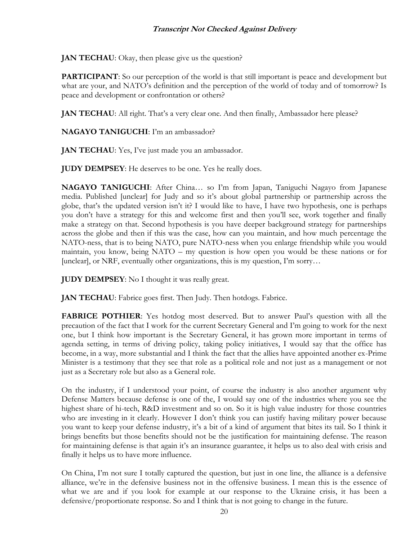**JAN TECHAU:** Okay, then please give us the question?

**PARTICIPANT**: So our perception of the world is that still important is peace and development but what are your, and NATO's definition and the perception of the world of today and of tomorrow? Is peace and development or confrontation or others?

**JAN TECHAU:** All right. That's a very clear one. And then finally, Ambassador here please?

**NAGAYO TANIGUCHI**: I'm an ambassador?

**JAN TECHAU**: Yes, I've just made you an ambassador.

**JUDY DEMPSEY**: He deserves to be one. Yes he really does.

**NAGAYO TANIGUCHI**: After China… so I'm from Japan, Taniguchi Nagayo from Japanese media. Published [unclear] for Judy and so it's about global partnership or partnership across the globe, that's the updated version isn't it? I would like to have, I have two hypothesis, one is perhaps you don't have a strategy for this and welcome first and then you'll see, work together and finally make a strategy on that. Second hypothesis is you have deeper background strategy for partnerships across the globe and then if this was the case, how can you maintain, and how much percentage the NATO-ness, that is to being NATO, pure NATO-ness when you enlarge friendship while you would maintain, you know, being NATO – my question is how open you would be these nations or for [unclear], or NRF, eventually other organizations, this is my question, I'm sorry…

**JUDY DEMPSEY**: No I thought it was really great.

**JAN TECHAU**: Fabrice goes first. Then Judy. Then hotdogs. Fabrice.

**FABRICE POTHIER**: Yes hotdog most deserved. But to answer Paul's question with all the precaution of the fact that I work for the current Secretary General and I'm going to work for the next one, but I think how important is the Secretary General, it has grown more important in terms of agenda setting, in terms of driving policy, taking policy initiatives, I would say that the office has become, in a way, more substantial and I think the fact that the allies have appointed another ex-Prime Minister is a testimony that they see that role as a political role and not just as a management or not just as a Secretary role but also as a General role.

On the industry, if I understood your point, of course the industry is also another argument why Defense Matters because defense is one of the, I would say one of the industries where you see the highest share of hi-tech, R&D investment and so on. So it is high value industry for those countries who are investing in it clearly. However I don't think you can justify having military power because you want to keep your defense industry, it's a bit of a kind of argument that bites its tail. So I think it brings benefits but those benefits should not be the justification for maintaining defense. The reason for maintaining defense is that again it's an insurance guarantee, it helps us to also deal with crisis and finally it helps us to have more influence.

On China, I'm not sure I totally captured the question, but just in one line, the alliance is a defensive alliance, we're in the defensive business not in the offensive business. I mean this is the essence of what we are and if you look for example at our response to the Ukraine crisis, it has been a defensive/proportionate response. So and I think that is not going to change in the future.